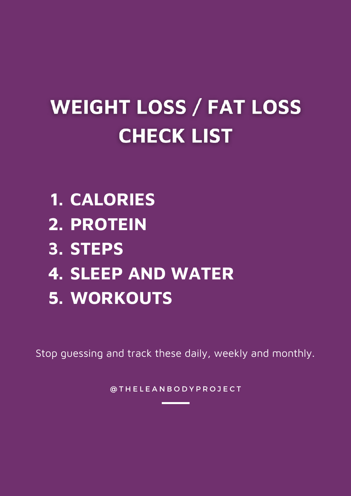# **WEIGHT LOSS / FAT LOSS CHECK LIST**

- **CALORIES 1.**
- **PROTEIN 2.**
- **STEPS 3.**
- **SLEEP AND WATER 4.**
- **WORKOUTS 5.**

Stop guessing and track these daily, weekly and monthly.

@ T H E L E A N B O D Y P R O J E C T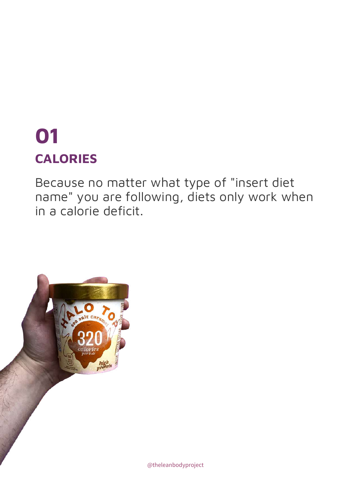## **CALORIES 01**

Because no matter what type of "insert diet name" you are following, diets only work when in a calorie deficit.

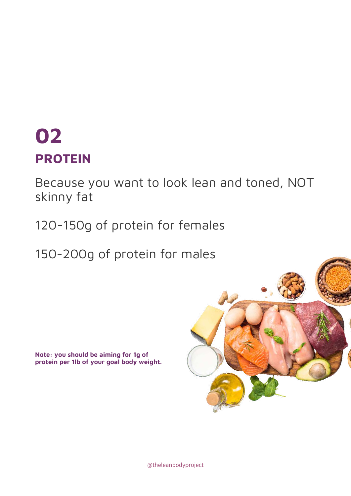#### **PROTEIN 02**

Because you want to look lean and toned, NOT skinny fat

120-150g of protein for females

150-200g of protein for males

**Note: you should be aiming for 1g of protein per 1lb of your goal body weight.**



@theleanbodyproject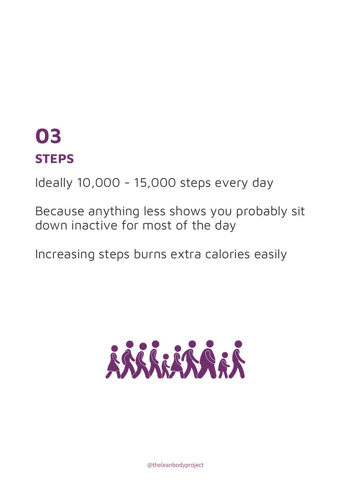#### **STEPS 03**

Ideally 10,000 - 15,000 steps every day

Because anything less shows you probably sit down inactive for most of the day

Increasing steps burns extra calories easily



@theleanbodyproject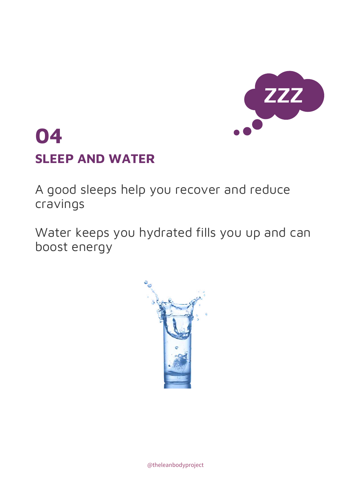

## **SLEEP AND WATER 04**

A good sleeps help you recover and reduce cravings

Water keeps you hydrated fills you up and can boost energy

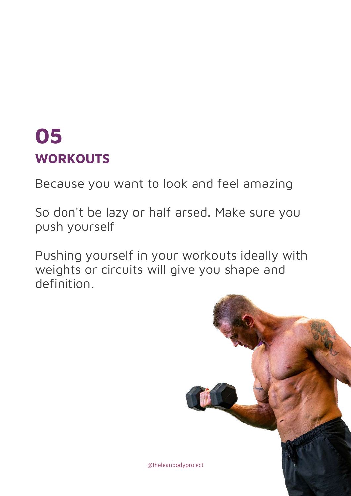#### **WORKOUTS 05**

Because you want to look and feel amazing

So don't be lazy or half arsed. Make sure you push yourself

Pushing yourself in your workouts ideally with weights or circuits will give you shape and definition.